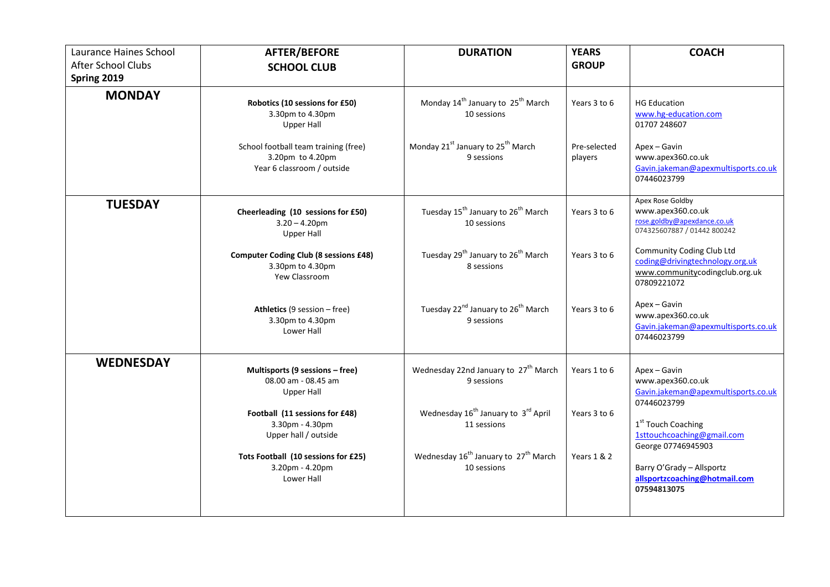| Laurance Haines School<br><b>After School Clubs</b> | <b>AFTER/BEFORE</b><br><b>SCHOOL CLUB</b>                                                                                                                                                                                          | <b>DURATION</b>                                                                                                                                                                                                                   | <b>YEARS</b><br><b>GROUP</b>                 | <b>COACH</b>                                                                                                                                                                                                                                                                                                                   |
|-----------------------------------------------------|------------------------------------------------------------------------------------------------------------------------------------------------------------------------------------------------------------------------------------|-----------------------------------------------------------------------------------------------------------------------------------------------------------------------------------------------------------------------------------|----------------------------------------------|--------------------------------------------------------------------------------------------------------------------------------------------------------------------------------------------------------------------------------------------------------------------------------------------------------------------------------|
| Spring 2019<br><b>MONDAY</b>                        | Robotics (10 sessions for £50)<br>3.30pm to 4.30pm<br><b>Upper Hall</b><br>School football team training (free)<br>3.20pm to 4.20pm<br>Year 6 classroom / outside                                                                  | Monday 14 <sup>th</sup> January to 25 <sup>th</sup> March<br>10 sessions<br>Monday 21 <sup>st</sup> January to 25 <sup>th</sup> March<br>9 sessions                                                                               | Years 3 to 6<br>Pre-selected<br>players      | <b>HG Education</b><br>www.hg-education.com<br>01707 248607<br>Apex - Gavin<br>www.apex360.co.uk<br>Gavin.jakeman@apexmultisports.co.uk                                                                                                                                                                                        |
| <b>TUESDAY</b>                                      | Cheerleading (10 sessions for £50)<br>$3.20 - 4.20$ pm<br><b>Upper Hall</b><br><b>Computer Coding Club (8 sessions £48)</b><br>3.30pm to 4.30pm<br>Yew Classroom<br>Athletics (9 session - free)<br>3.30pm to 4.30pm<br>Lower Hall | Tuesday 15 <sup>th</sup> January to 26 <sup>th</sup> March<br>10 sessions<br>Tuesday 29 <sup>th</sup> January to 26 <sup>th</sup> March<br>8 sessions<br>Tuesday 22 <sup>nd</sup> January to 26 <sup>th</sup> March<br>9 sessions | Years 3 to 6<br>Years 3 to 6<br>Years 3 to 6 | 07446023799<br>Apex Rose Goldby<br>www.apex360.co.uk<br>rose.goldby@apexdance.co.uk<br>074325607887 / 01442 800242<br>Community Coding Club Ltd<br>coding@drivingtechnology.org.uk<br>www.communitycodingclub.org.uk<br>07809221072<br>Apex - Gavin<br>www.apex360.co.uk<br>Gavin.jakeman@apexmultisports.co.uk<br>07446023799 |
| <b>WEDNESDAY</b>                                    | Multisports (9 sessions - free)<br>08.00 am - 08.45 am<br><b>Upper Hall</b><br>Football (11 sessions for £48)<br>3.30pm - 4.30pm<br>Upper hall / outside<br>Tots Football (10 sessions for £25)<br>3.20pm - 4.20pm<br>Lower Hall   | Wednesday 22nd January to 27 <sup>th</sup> March<br>9 sessions<br>Wednesday 16 <sup>th</sup> January to 3 <sup>rd</sup> April<br>11 sessions<br>Wednesday 16 <sup>th</sup> January to 27 <sup>th</sup> March<br>10 sessions       | Years 1 to 6<br>Years 3 to 6<br>Years 1 & 2  | Apex - Gavin<br>www.apex360.co.uk<br>Gavin.jakeman@apexmultisports.co.uk<br>07446023799<br>1 <sup>st</sup> Touch Coaching<br>1sttouchcoaching@gmail.com<br>George 07746945903<br>Barry O'Grady - Allsportz<br>allsportzcoaching@hotmail.com<br>07594813075                                                                     |